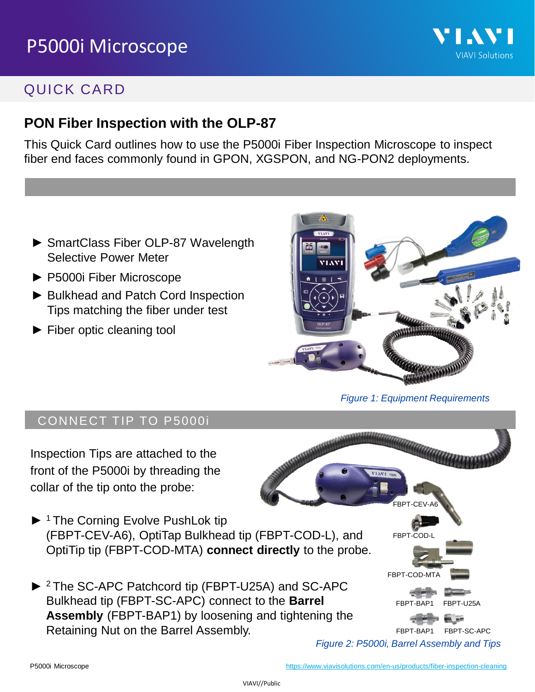

### QUICK CARD

#### **PON Fiber Inspection with the OLP-87**

This Quick Card outlines how to use the P5000i Fiber Inspection Microscope to inspect fiber end faces commonly found in GPON, XGSPON, and NG-PON2 deployments.

- ► SmartClass Fiber OLP-87 Wavelength Selective Power Meter
- ► P5000i Fiber Microscope
- ► Bulkhead and Patch Cord Inspection Tips matching the fiber under test
- ► Fiber optic cleaning tool



*Figure 1: Equipment Requirements*

#### CONNECT TIP TO P5000i

Inspection Tips are attached to the front of the P5000i by threading the collar of the tip onto the probe:

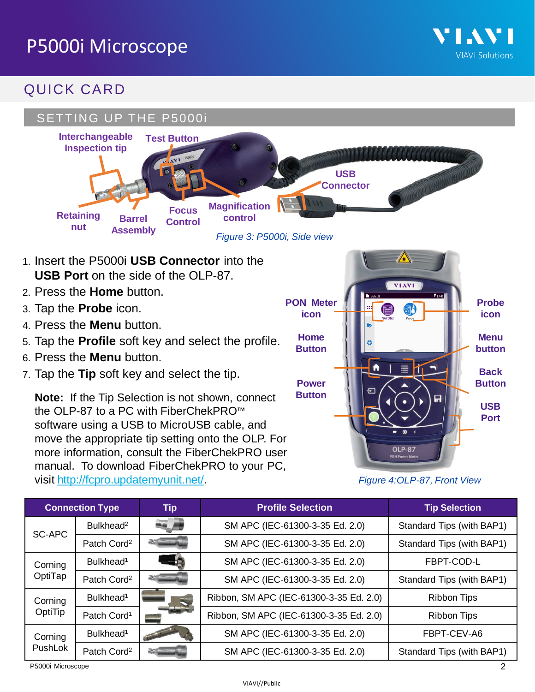

### QUICK CARD



software using a USB to MicroUSB cable, and move the appropriate tip setting onto the OLP. For more information, consult the FiberChekPRO user manual. To download FiberChekPRO to your PC, visit [http://fcpro.updatemyunit.net/.](http://fcpro.updatemyunit.net/)

*Figure 4:OLP-87, Front View*

**OLP-87** 

| <b>Connection Type</b> |                         | <b>Tip</b> | <b>Profile Selection</b>                | <b>Tip Selection</b>      |
|------------------------|-------------------------|------------|-----------------------------------------|---------------------------|
| SC-APC                 | Bulkhead <sup>2</sup>   |            | SM APC (IEC-61300-3-35 Ed. 2.0)         | Standard Tips (with BAP1) |
|                        | Patch Cord <sup>2</sup> |            | SM APC (IEC-61300-3-35 Ed. 2.0)         | Standard Tips (with BAP1) |
| Corning<br>OptiTap     | Bulkhead <sup>1</sup>   | $-2$       | SM APC (IEC-61300-3-35 Ed. 2.0)         | FBPT-COD-L                |
|                        | Patch Cord <sup>2</sup> |            | SM APC (IEC-61300-3-35 Ed. 2.0)         | Standard Tips (with BAP1) |
| Corning<br>OptiTip     | Bulkhead <sup>1</sup>   |            | Ribbon, SM APC (IEC-61300-3-35 Ed. 2.0) | <b>Ribbon Tips</b>        |
|                        | Patch Cord <sup>1</sup> |            | Ribbon, SM APC (IEC-61300-3-35 Ed. 2.0) | <b>Ribbon Tips</b>        |
| Corning<br>PushLok     | Bulkhead <sup>1</sup>   |            | SM APC (IEC-61300-3-35 Ed. 2.0)         | FBPT-CEV-A6               |
|                        | Patch Cord <sup>2</sup> |            | SM APC (IEC-61300-3-35 Ed. 2.0)         | Standard Tips (with BAP1) |

P5000i Microscope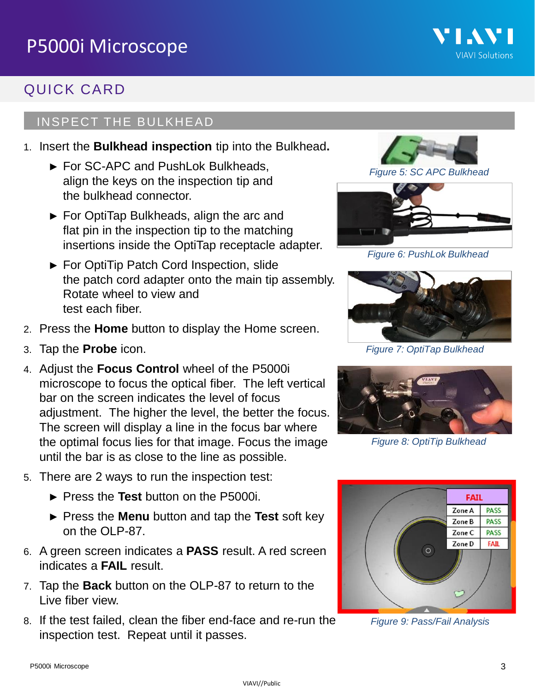### QUICK CARD

#### INSPECT THE BULKHEAD

- 1. Insert the **Bulkhead inspection** tip into the Bulkhead**.**
	- ► For SC-APC and PushLok Bulkheads, align the keys on the inspection tip and the bulkhead connector.
	- ► For OptiTap Bulkheads, align the arc and flat pin in the inspection tip to the matching insertions inside the OptiTap receptacle adapter.
	- ► For OptiTip Patch Cord Inspection, slide the patch cord adapter onto the main tip assembly. Rotate wheel to view and test each fiber.
- 2. Press the **Home** button to display the Home screen.
- 3. Tap the **Probe** icon.
- 4. Adjust the **Focus Control** wheel of the P5000i microscope to focus the optical fiber. The left vertical bar on the screen indicates the level of focus adjustment. The higher the level, the better the focus. The screen will display a line in the focus bar where the optimal focus lies for that image. Focus the image until the bar is as close to the line as possible.
- 5. There are 2 ways to run the inspection test:
	- ► Press the **Test** button on the P5000i.
	- ► Press the **Menu** button and tap the **Test** soft key on the OLP-87.
- 6. A green screen indicates a **PASS** result. A red screen indicates a **FAIL** result.
- 7. Tap the **Back** button on the OLP-87 to return to the Live fiber view.
- 8. If the test failed, clean the fiber end-face and re-run the inspection test. Repeat until it passes.



*Figure 5: SC APC Bulkhead*

VI.VI

**VIAVI Solutions** 



*Figure 6: PushLok Bulkhead*



*Figure 7: OptiTap Bulkhead*



*Figure 8: OptiTip Bulkhead*



*Figure 9: Pass/Fail Analysis*